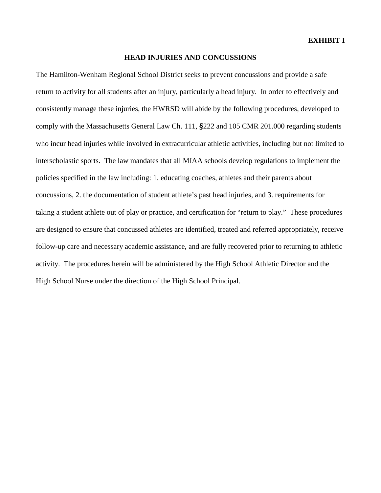#### **HEAD INJURIES AND CONCUSSIONS**

The Hamilton-Wenham Regional School District seeks to prevent concussions and provide a safe return to activity for all students after an injury, particularly a head injury. In order to effectively and consistently manage these injuries, the HWRSD will abide by the following procedures, developed to comply with the Massachusetts General Law Ch. 111, **§**222 and 105 CMR 201.000 regarding students who incur head injuries while involved in extracurricular athletic activities, including but not limited to interscholastic sports. The law mandates that all MIAA schools develop regulations to implement the policies specified in the law including: 1. educating coaches, athletes and their parents about concussions, 2. the documentation of student athlete's past head injuries, and 3. requirements for taking a student athlete out of play or practice, and certification for "return to play." These procedures are designed to ensure that concussed athletes are identified, treated and referred appropriately, receive follow-up care and necessary academic assistance, and are fully recovered prior to returning to athletic activity. The procedures herein will be administered by the High School Athletic Director and the High School Nurse under the direction of the High School Principal.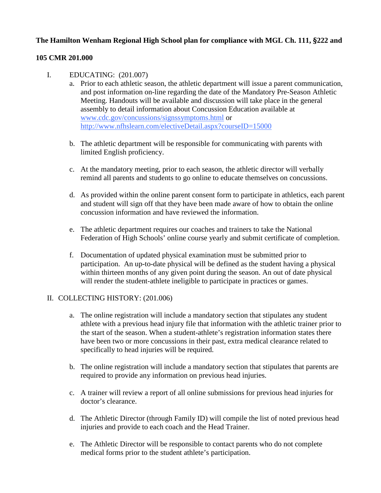# **The Hamilton Wenham Regional High School plan for compliance with MGL Ch. 111, §222 and**

### **105 CMR 201.000**

### I. EDUCATING: (201.007)

- a. Prior to each athletic season, the athletic department will issue a parent communication, and post information on-line regarding the date of the Mandatory Pre-Season Athletic Meeting. Handouts will be available and discussion will take place in the general assembly to detail information about Concussion Education available at [www.cdc.gov/concussions/signssymptoms.html](http://www.cdc.gov/concussions/signssymptoms.html) or <http://www.nfhslearn.com/electiveDetail.aspx?courseID=15000>
- b. The athletic department will be responsible for communicating with parents with limited English proficiency.
- c. At the mandatory meeting, prior to each season, the athletic director will verbally remind all parents and students to go online to educate themselves on concussions.
- d. As provided within the online parent consent form to participate in athletics, each parent and student will sign off that they have been made aware of how to obtain the online concussion information and have reviewed the information.
- e. The athletic department requires our coaches and trainers to take the National Federation of High Schools' online course yearly and submit certificate of completion.
- f. Documentation of updated physical examination must be submitted prior to participation. An up-to-date physical will be defined as the student having a physical within thirteen months of any given point during the season. An out of date physical will render the student-athlete ineligible to participate in practices or games.

## II. COLLECTING HISTORY: (201.006)

- a. The online registration will include a mandatory section that stipulates any student athlete with a previous head injury file that information with the athletic trainer prior to the start of the season. When a student-athlete's registration information states there have been two or more concussions in their past, extra medical clearance related to specifically to head injuries will be required.
- b. The online registration will include a mandatory section that stipulates that parents are required to provide any information on previous head injuries.
- c. A trainer will review a report of all online submissions for previous head injuries for doctor's clearance.
- d. The Athletic Director (through Family ID) will compile the list of noted previous head injuries and provide to each coach and the Head Trainer.
- e. The Athletic Director will be responsible to contact parents who do not complete medical forms prior to the student athlete's participation.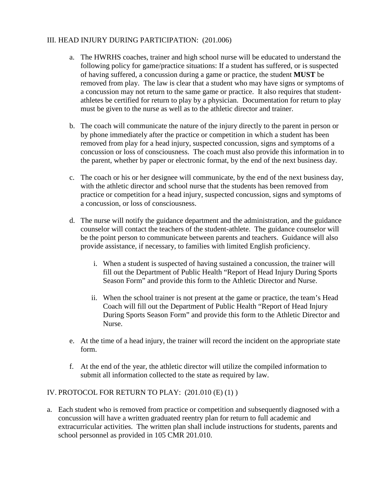### III. HEAD INJURY DURING PARTICIPATION: (201.006)

- a. The HWRHS coaches, trainer and high school nurse will be educated to understand the following policy for game/practice situations: If a student has suffered, or is suspected of having suffered, a concussion during a game or practice, the student **MUST** be removed from play. The law is clear that a student who may have signs or symptoms of a concussion may not return to the same game or practice. It also requires that studentathletes be certified for return to play by a physician. Documentation for return to play must be given to the nurse as well as to the athletic director and trainer.
- b. The coach will communicate the nature of the injury directly to the parent in person or by phone immediately after the practice or competition in which a student has been removed from play for a head injury, suspected concussion, signs and symptoms of a concussion or loss of consciousness. The coach must also provide this information in to the parent, whether by paper or electronic format, by the end of the next business day.
- c. The coach or his or her designee will communicate, by the end of the next business day, with the athletic director and school nurse that the students has been removed from practice or competition for a head injury, suspected concussion, signs and symptoms of a concussion, or loss of consciousness.
- d. The nurse will notify the guidance department and the administration, and the guidance counselor will contact the teachers of the student-athlete. The guidance counselor will be the point person to communicate between parents and teachers. Guidance will also provide assistance, if necessary, to families with limited English proficiency.
	- i. When a student is suspected of having sustained a concussion, the trainer will fill out the Department of Public Health "Report of Head Injury During Sports Season Form" and provide this form to the Athletic Director and Nurse.
	- ii. When the school trainer is not present at the game or practice, the team's Head Coach will fill out the Department of Public Health "Report of Head Injury During Sports Season Form" and provide this form to the Athletic Director and Nurse.
- e. At the time of a head injury, the trainer will record the incident on the appropriate state form.
- f. At the end of the year, the athletic director will utilize the compiled information to submit all information collected to the state as required by law.

## IV. PROTOCOL FOR RETURN TO PLAY: (201.010 (E) (1) )

a. Each student who is removed from practice or competition and subsequently diagnosed with a concussion will have a written graduated reentry plan for return to full academic and extracurricular activities. The written plan shall include instructions for students, parents and school personnel as provided in 105 CMR 201.010.